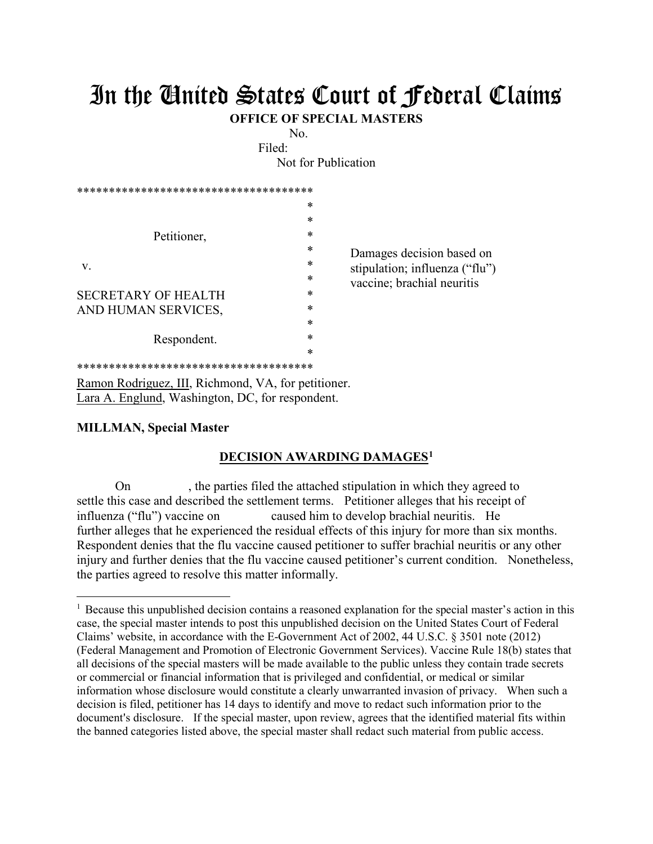## In the United States Court of Federal Claims

**OFFICE OF SPECIAL MASTERS**

No.

Filed:

Not for Publication

| *******************************        |        |                                                                                           |
|----------------------------------------|--------|-------------------------------------------------------------------------------------------|
|                                        | *      |                                                                                           |
|                                        | *      |                                                                                           |
| Petitioner,<br>V.                      | *      | Damages decision based on<br>stipulation; influenza ("flu")<br>vaccine; brachial neuritis |
|                                        | *      |                                                                                           |
|                                        | *      |                                                                                           |
|                                        | *      |                                                                                           |
| <b>SECRETARY OF HEALTH</b>             | *      |                                                                                           |
| AND HUMAN SERVICES,                    | *      |                                                                                           |
|                                        | $\ast$ |                                                                                           |
| Respondent.                            | *      |                                                                                           |
|                                        | *      |                                                                                           |
| ************************************** |        |                                                                                           |

Ramon Rodriguez, III, Richmond, VA, for petitioner. Lara A. Englund, Washington, DC, for respondent.

## **MILLMAN, Special Master**

 $\overline{a}$ 

## **DECISION AWARDING DAMAGES1**

On , the parties filed the attached stipulation in which they agreed to settle this case and described the settlement terms. Petitioner alleges that his receipt of influenza ("flu") vaccine on caused him to develop brachial neuritis. He further alleges that he experienced the residual effects of this injury for more than six months. Respondent denies that the flu vaccine caused petitioner to suffer brachial neuritis or any other injury and further denies that the flu vaccine caused petitioner's current condition. Nonetheless, the parties agreed to resolve this matter informally.

<sup>&</sup>lt;sup>1</sup> Because this unpublished decision contains a reasoned explanation for the special master's action in this case, the special master intends to post this unpublished decision on the United States Court of Federal Claims' website, in accordance with the E-Government Act of 2002, 44 U.S.C. § 3501 note (2012) (Federal Management and Promotion of Electronic Government Services). Vaccine Rule 18(b) states that all decisions of the special masters will be made available to the public unless they contain trade secrets or commercial or financial information that is privileged and confidential, or medical or similar information whose disclosure would constitute a clearly unwarranted invasion of privacy. When such a decision is filed, petitioner has 14 days to identify and move to redact such information prior to the document's disclosure. If the special master, upon review, agrees that the identified material fits within the banned categories listed above, the special master shall redact such material from public access.